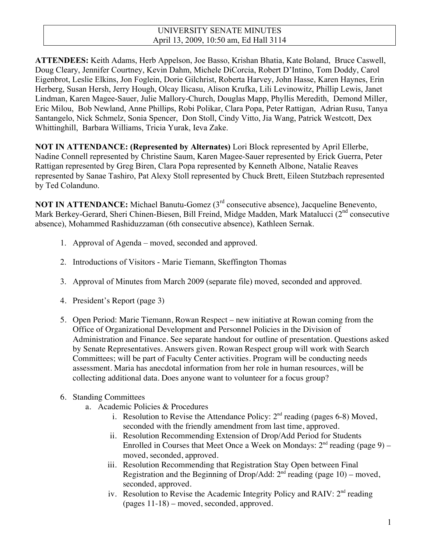# UNIVERSITY SENATE MINUTES April 13, 2009, 10:50 am, Ed Hall 3114

**ATTENDEES:** Keith Adams, Herb Appelson, Joe Basso, Krishan Bhatia, Kate Boland, Bruce Caswell, Doug Cleary, Jennifer Courtney, Kevin Dahm, Michele DiCorcia, Robert D'Intino, Tom Doddy, Carol Eigenbrot, Leslie Elkins, Jon Foglein, Dorie Gilchrist, Roberta Harvey, John Hasse, Karen Haynes, Erin Herberg, Susan Hersh, Jerry Hough, Olcay Ilicasu, Alison Krufka, Lili Levinowitz, Phillip Lewis, Janet Lindman, Karen Magee-Sauer, Julie Mallory-Church, Douglas Mapp, Phyllis Meredith, Demond Miller, Eric Milou, Bob Newland, Anne Phillips, Robi Polikar, Clara Popa, Peter Rattigan, Adrian Rusu, Tanya Santangelo, Nick Schmelz, Sonia Spencer, Don Stoll, Cindy Vitto, Jia Wang, Patrick Westcott, Dex Whittinghill, Barbara Williams, Tricia Yurak, Ieva Zake.

**NOT IN ATTENDANCE: (Represented by Alternates)** Lori Block represented by April Ellerbe, Nadine Connell represented by Christine Saum, Karen Magee-Sauer represented by Erick Guerra, Peter Rattigan represented by Greg Biren, Clara Popa represented by Kenneth Albone, Natalie Reaves represented by Sanae Tashiro, Pat Alexy Stoll represented by Chuck Brett, Eileen Stutzbach represented by Ted Colanduno.

**NOT IN ATTENDANCE:** Michael Banutu-Gomez (3<sup>rd</sup> consecutive absence), Jacqueline Benevento, Mark Berkey-Gerard, Sheri Chinen-Biesen, Bill Freind, Midge Madden, Mark Matalucci (2<sup>nd</sup> consecutive absence), Mohammed Rashiduzzaman (6th consecutive absence), Kathleen Sernak.

- 1. Approval of Agenda moved, seconded and approved.
- 2. Introductions of Visitors Marie Tiemann, Skeffington Thomas
- 3. Approval of Minutes from March 2009 (separate file) moved, seconded and approved.
- 4. President's Report (page 3)
- 5. Open Period: Marie Tiemann, Rowan Respect new initiative at Rowan coming from the Office of Organizational Development and Personnel Policies in the Division of Administration and Finance. See separate handout for outline of presentation. Questions asked by Senate Representatives. Answers given. Rowan Respect group will work with Search Committees; will be part of Faculty Center activities. Program will be conducting needs assessment. Maria has anecdotal information from her role in human resources, will be collecting additional data. Does anyone want to volunteer for a focus group?
- 6. Standing Committees
	- a. Academic Policies & Procedures
		- i. Resolution to Revise the Attendance Policy:  $2<sup>nd</sup>$  reading (pages 6-8) Moved, seconded with the friendly amendment from last time, approved.
		- ii. Resolution Recommending Extension of Drop/Add Period for Students Enrolled in Courses that Meet Once a Week on Mondays:  $2<sup>nd</sup>$  reading (page 9) – moved, seconded, approved.
		- iii. Resolution Recommending that Registration Stay Open between Final Registration and the Beginning of Drop/Add:  $2<sup>nd</sup>$  reading (page 10) – moved, seconded, approved.
		- iv. Resolution to Revise the Academic Integrity Policy and RAIV:  $2<sup>nd</sup>$  reading (pages 11-18) – moved, seconded, approved.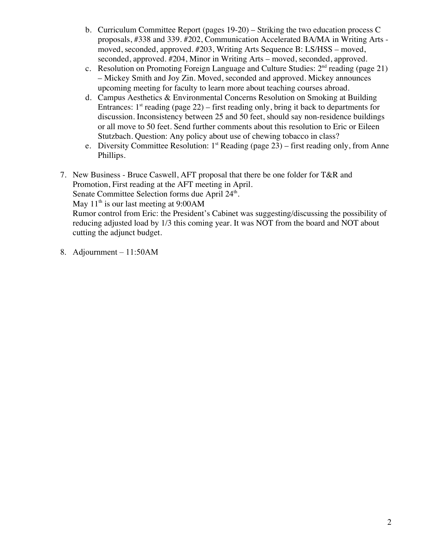- b. Curriculum Committee Report (pages 19-20) Striking the two education process C proposals, #338 and 339. #202, Communication Accelerated BA/MA in Writing Arts moved, seconded, approved. #203, Writing Arts Sequence B: LS/HSS – moved, seconded, approved. #204, Minor in Writing Arts – moved, seconded, approved.
- c. Resolution on Promoting Foreign Language and Culture Studies:  $2<sup>nd</sup>$  reading (page 21) – Mickey Smith and Joy Zin. Moved, seconded and approved. Mickey announces upcoming meeting for faculty to learn more about teaching courses abroad.
- d. Campus Aesthetics & Environmental Concerns Resolution on Smoking at Building Entrances:  $1<sup>st</sup>$  reading (page 22) – first reading only, bring it back to departments for discussion. Inconsistency between 25 and 50 feet, should say non-residence buildings or all move to 50 feet. Send further comments about this resolution to Eric or Eileen Stutzbach. Question: Any policy about use of chewing tobacco in class?
- e. Diversity Committee Resolution:  $1<sup>st</sup>$  Reading (page 23) first reading only, from Anne Phillips.
- 7. New Business Bruce Caswell, AFT proposal that there be one folder for T&R and Promotion, First reading at the AFT meeting in April.
	- Senate Committee Selection forms due April 24<sup>th</sup>.

May  $11<sup>th</sup>$  is our last meeting at 9:00AM

Rumor control from Eric: the President's Cabinet was suggesting/discussing the possibility of reducing adjusted load by 1/3 this coming year. It was NOT from the board and NOT about cutting the adjunct budget.

8. Adjournment – 11:50AM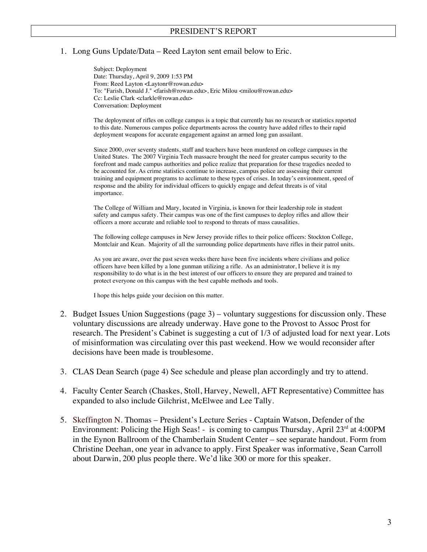#### 1. Long Guns Update/Data – Reed Layton sent email below to Eric.

Subject: Deployment Date: Thursday, April 9, 2009 1:53 PM From: Reed Layton <Laytonr@rowan.edu> To: "Farish, Donald J." <farish@rowan.edu>, Eric Milou <milou@rowan.edu> Cc: Leslie Clark <clarkle@rowan.edu> Conversation: Deployment

The deployment of rifles on college campus is a topic that currently has no research or statistics reported to this date. Numerous campus police departments across the country have added rifles to their rapid deployment weapons for accurate engagement against an armed long gun assailant.

Since 2000, over seventy students, staff and teachers have been murdered on college campuses in the United States. The 2007 Virginia Tech massacre brought the need for greater campus security to the forefront and made campus authorities and police realize that preparation for these tragedies needed to be accounted for. As crime statistics continue to increase, campus police are assessing their current training and equipment programs to acclimate to these types of crises. In today's environment, speed of response and the ability for individual officers to quickly engage and defeat threats is of vital importance.

The College of William and Mary, located in Virginia, is known for their leadership role in student safety and campus safety. Their campus was one of the first campuses to deploy rifles and allow their officers a more accurate and reliable tool to respond to threats of mass causalities.

The following college campuses in New Jersey provide rifles to their police officers: Stockton College, Montclair and Kean. Majority of all the surrounding police departments have rifles in their patrol units.

As you are aware, over the past seven weeks there have been five incidents where civilians and police officers have been killed by a lone gunman utilizing a rifle. As an administrator, I believe it is my responsibility to do what is in the best interest of our officers to ensure they are prepared and trained to protect everyone on this campus with the best capable methods and tools.

I hope this helps guide your decision on this matter.

- 2. Budget Issues Union Suggestions (page 3) voluntary suggestions for discussion only. These voluntary discussions are already underway. Have gone to the Provost to Assoc Prost for research. The President's Cabinet is suggesting a cut of 1/3 of adjusted load for next year. Lots of misinformation was circulating over this past weekend. How we would reconsider after decisions have been made is troublesome.
- 3. CLAS Dean Search (page 4) See schedule and please plan accordingly and try to attend.
- 4. Faculty Center Search (Chaskes, Stoll, Harvey, Newell, AFT Representative) Committee has expanded to also include Gilchrist, McElwee and Lee Tally.
- 5. Skeffington N. Thomas President's Lecture Series Captain Watson, Defender of the Environment: Policing the High Seas! - is coming to campus Thursday, April  $23<sup>rd</sup>$  at 4:00PM in the Eynon Ballroom of the Chamberlain Student Center – see separate handout. Form from Christine Deehan, one year in advance to apply. First Speaker was informative, Sean Carroll about Darwin, 200 plus people there. We'd like 300 or more for this speaker.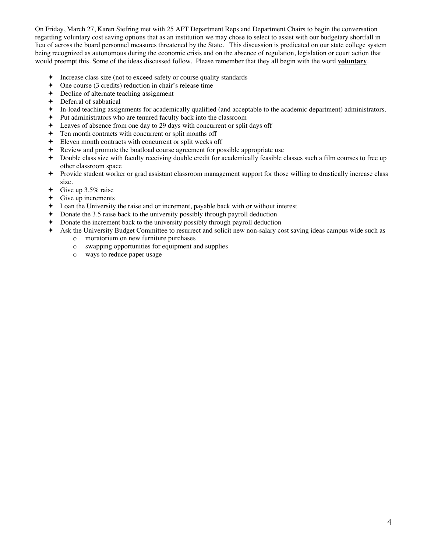On Friday, March 27, Karen Siefring met with 25 AFT Department Reps and Department Chairs to begin the conversation regarding voluntary cost saving options that as an institution we may chose to select to assist with our budgetary shortfall in lieu of across the board personnel measures threatened by the State. This discussion is predicated on our state college system being recognized as autonomous during the economic crisis and on the absence of regulation, legislation or court action that would preempt this. Some of the ideas discussed follow. Please remember that they all begin with the word **voluntary**.

- Increase class size (not to exceed safety or course quality standards
- One course (3 credits) reduction in chair's release time
- Decline of alternate teaching assignment
- **←** Deferral of sabbatical
- In-load teaching assignments for academically qualified (and acceptable to the academic department) administrators.
- Put administrators who are tenured faculty back into the classroom
- Leaves of absence from one day to 29 days with concurrent or split days off
- Ten month contracts with concurrent or split months off
- Eleven month contracts with concurrent or split weeks off
- Review and promote the boatload course agreement for possible appropriate use
- Double class size with faculty receiving double credit for academically feasible classes such a film courses to free up other classroom space
- Provide student worker or grad assistant classroom management support for those willing to drastically increase class size.
- $\div$  Give up 3.5% raise
- $\div$  Give up increments
- Loan the University the raise and or increment, payable back with or without interest
- Donate the 3.5 raise back to the university possibly through payroll deduction
- Donate the increment back to the university possibly through payroll deduction
- Ask the University Budget Committee to resurrect and solicit new non-salary cost saving ideas campus wide such as
	- o moratorium on new furniture purchases
	- o swapping opportunities for equipment and supplies
	- o ways to reduce paper usage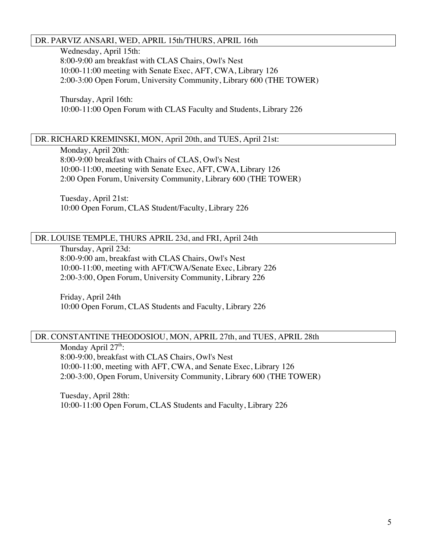# DR. PARVIZ ANSARI, WED, APRIL 15th/THURS, APRIL 16th

Wednesday, April 15th:

8:00-9:00 am breakfast with CLAS Chairs, Owl's Nest 10:00-11:00 meeting with Senate Exec, AFT, CWA, Library 126 2:00-3:00 Open Forum, University Community, Library 600 (THE TOWER)

Thursday, April 16th: 10:00-11:00 Open Forum with CLAS Faculty and Students, Library 226

# DR. RICHARD KREMINSKI, MON, April 20th, and TUES, April 21st:

Monday, April 20th: 8:00-9:00 breakfast with Chairs of CLAS, Owl's Nest 10:00-11:00, meeting with Senate Exec, AFT, CWA, Library 126 2:00 Open Forum, University Community, Library 600 (THE TOWER)

Tuesday, April 21st: 10:00 Open Forum, CLAS Student/Faculty, Library 226

# DR. LOUISE TEMPLE, THURS APRIL 23d, and FRI, April 24th

Thursday, April 23d: 8:00-9:00 am, breakfast with CLAS Chairs, Owl's Nest 10:00-11:00, meeting with AFT/CWA/Senate Exec, Library 226 2:00-3:00, Open Forum, University Community, Library 226

Friday, April 24th 10:00 Open Forum, CLAS Students and Faculty, Library 226

# DR. CONSTANTINE THEODOSIOU, MON, APRIL 27th, and TUES, APRIL 28th

Monday April  $27<sup>th</sup>$ : 8:00-9:00, breakfast with CLAS Chairs, Owl's Nest 10:00-11:00, meeting with AFT, CWA, and Senate Exec, Library 126 2:00-3:00, Open Forum, University Community, Library 600 (THE TOWER)

Tuesday, April 28th: 10:00-11:00 Open Forum, CLAS Students and Faculty, Library 226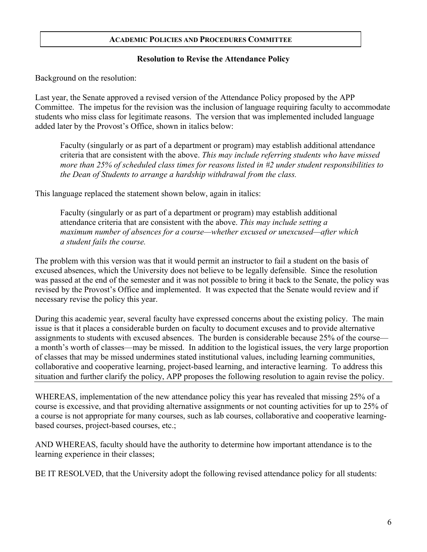# **Resolution to Revise the Attendance Policy**

Background on the resolution:

Last year, the Senate approved a revised version of the Attendance Policy proposed by the APP Committee. The impetus for the revision was the inclusion of language requiring faculty to accommodate students who miss class for legitimate reasons. The version that was implemented included language added later by the Provost's Office, shown in italics below:

Faculty (singularly or as part of a department or program) may establish additional attendance criteria that are consistent with the above. *This may include referring students who have missed more than 25% of scheduled class times for reasons listed in #2 under student responsibilities to the Dean of Students to arrange a hardship withdrawal from the class.*

This language replaced the statement shown below, again in italics:

Faculty (singularly or as part of a department or program) may establish additional attendance criteria that are consistent with the above. *This may include setting a maximum number of absences for a course—whether excused or unexcused—after which a student fails the course.*

The problem with this version was that it would permit an instructor to fail a student on the basis of excused absences, which the University does not believe to be legally defensible. Since the resolution was passed at the end of the semester and it was not possible to bring it back to the Senate, the policy was revised by the Provost's Office and implemented. It was expected that the Senate would review and if necessary revise the policy this year.

During this academic year, several faculty have expressed concerns about the existing policy. The main issue is that it places a considerable burden on faculty to document excuses and to provide alternative assignments to students with excused absences. The burden is considerable because 25% of the course a month's worth of classes—may be missed. In addition to the logistical issues, the very large proportion of classes that may be missed undermines stated institutional values, including learning communities, collaborative and cooperative learning, project-based learning, and interactive learning. To address this situation and further clarify the policy, APP proposes the following resolution to again revise the policy.

WHEREAS, implementation of the new attendance policy this year has revealed that missing 25% of a course is excessive, and that providing alternative assignments or not counting activities for up to 25% of a course is not appropriate for many courses, such as lab courses, collaborative and cooperative learningbased courses, project-based courses, etc.;

AND WHEREAS, faculty should have the authority to determine how important attendance is to the learning experience in their classes;

BE IT RESOLVED, that the University adopt the following revised attendance policy for all students: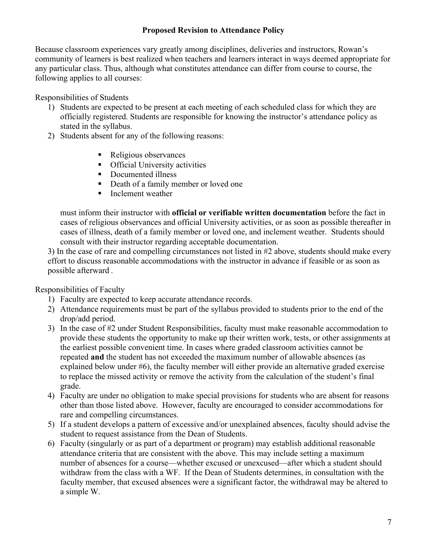# **Proposed Revision to Attendance Policy**

Because classroom experiences vary greatly among disciplines, deliveries and instructors, Rowan's community of learners is best realized when teachers and learners interact in ways deemed appropriate for any particular class. Thus, although what constitutes attendance can differ from course to course, the following applies to all courses:

Responsibilities of Students

- 1) Students are expected to be present at each meeting of each scheduled class for which they are officially registered. Students are responsible for knowing the instructor's attendance policy as stated in the syllabus.
- 2) Students absent for any of the following reasons:
	- Religious observances
	- **•** Official University activities
	- Documented illness
	- Death of a family member or loved one
	- **Inclement weather**

must inform their instructor with **official or verifiable written documentation** before the fact in cases of religious observances and official University activities, or as soon as possible thereafter in cases of illness, death of a family member or loved one, and inclement weather. Students should consult with their instructor regarding acceptable documentation.

3) In the case of rare and compelling circumstances not listed in #2 above, students should make every effort to discuss reasonable accommodations with the instructor in advance if feasible or as soon as possible afterward *.*

Responsibilities of Faculty

- 1) Faculty are expected to keep accurate attendance records.
- 2) Attendance requirements must be part of the syllabus provided to students prior to the end of the drop/add period.
- 3) In the case of #2 under Student Responsibilities, faculty must make reasonable accommodation to provide these students the opportunity to make up their written work, tests, or other assignments at the earliest possible convenient time. In cases where graded classroom activities cannot be repeated **and** the student has not exceeded the maximum number of allowable absences (as explained below under #6), the faculty member will either provide an alternative graded exercise to replace the missed activity or remove the activity from the calculation of the student's final grade.
- 4) Faculty are under no obligation to make special provisions for students who are absent for reasons other than those listed above. However, faculty are encouraged to consider accommodations for rare and compelling circumstances.
- 5) If a student develops a pattern of excessive and/or unexplained absences, faculty should advise the student to request assistance from the Dean of Students.
- 6) Faculty (singularly or as part of a department or program) may establish additional reasonable attendance criteria that are consistent with the above. This may include setting a maximum number of absences for a course—whether excused or unexcused—after which a student should withdraw from the class with a WF. If the Dean of Students determines, in consultation with the faculty member, that excused absences were a significant factor, the withdrawal may be altered to a simple W.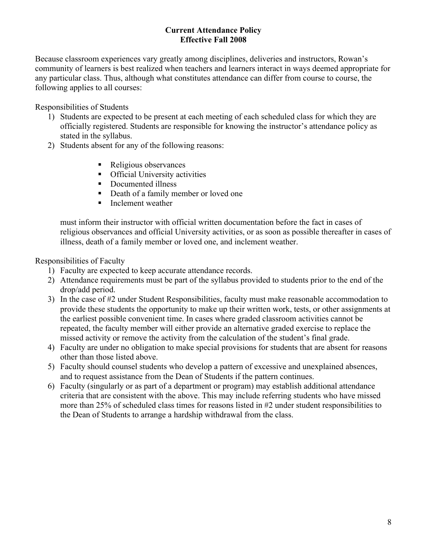# **Current Attendance Policy Effective Fall 2008**

Because classroom experiences vary greatly among disciplines, deliveries and instructors, Rowan's community of learners is best realized when teachers and learners interact in ways deemed appropriate for any particular class. Thus, although what constitutes attendance can differ from course to course, the following applies to all courses:

Responsibilities of Students

- 1) Students are expected to be present at each meeting of each scheduled class for which they are officially registered. Students are responsible for knowing the instructor's attendance policy as stated in the syllabus.
- 2) Students absent for any of the following reasons:
	- Religious observances
	- **•** Official University activities
	- Documented illness
	- Death of a family member or loved one
	- Inclement weather

must inform their instructor with official written documentation before the fact in cases of religious observances and official University activities, or as soon as possible thereafter in cases of illness, death of a family member or loved one, and inclement weather.

Responsibilities of Faculty

- 1) Faculty are expected to keep accurate attendance records.
- 2) Attendance requirements must be part of the syllabus provided to students prior to the end of the drop/add period.
- 3) In the case of #2 under Student Responsibilities, faculty must make reasonable accommodation to provide these students the opportunity to make up their written work, tests, or other assignments at the earliest possible convenient time. In cases where graded classroom activities cannot be repeated, the faculty member will either provide an alternative graded exercise to replace the missed activity or remove the activity from the calculation of the student's final grade.
- 4) Faculty are under no obligation to make special provisions for students that are absent for reasons other than those listed above.
- 5) Faculty should counsel students who develop a pattern of excessive and unexplained absences, and to request assistance from the Dean of Students if the pattern continues.
- 6) Faculty (singularly or as part of a department or program) may establish additional attendance criteria that are consistent with the above. This may include referring students who have missed more than 25% of scheduled class times for reasons listed in #2 under student responsibilities to the Dean of Students to arrange a hardship withdrawal from the class.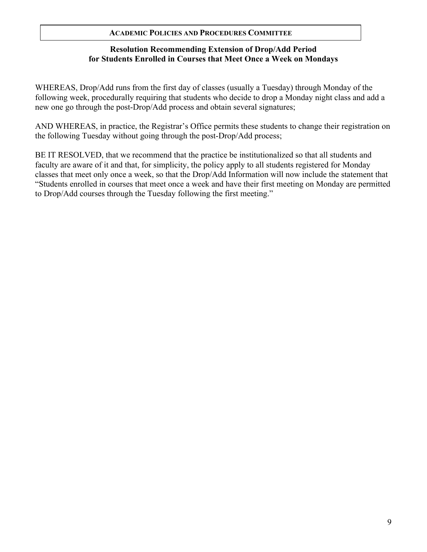# **Resolution Recommending Extension of Drop/Add Period for Students Enrolled in Courses that Meet Once a Week on Mondays**

WHEREAS, Drop/Add runs from the first day of classes (usually a Tuesday) through Monday of the following week, procedurally requiring that students who decide to drop a Monday night class and add a new one go through the post-Drop/Add process and obtain several signatures;

AND WHEREAS, in practice, the Registrar's Office permits these students to change their registration on the following Tuesday without going through the post-Drop/Add process;

BE IT RESOLVED, that we recommend that the practice be institutionalized so that all students and faculty are aware of it and that, for simplicity, the policy apply to all students registered for Monday classes that meet only once a week, so that the Drop/Add Information will now include the statement that "Students enrolled in courses that meet once a week and have their first meeting on Monday are permitted to Drop/Add courses through the Tuesday following the first meeting."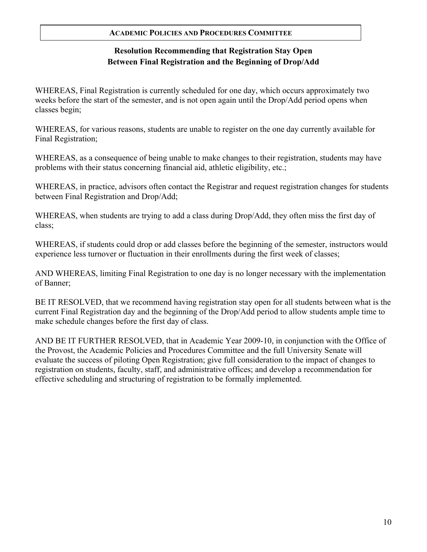# **Resolution Recommending that Registration Stay Open Between Final Registration and the Beginning of Drop/Add**

WHEREAS, Final Registration is currently scheduled for one day, which occurs approximately two weeks before the start of the semester, and is not open again until the Drop/Add period opens when classes begin;

WHEREAS, for various reasons, students are unable to register on the one day currently available for Final Registration;

WHEREAS, as a consequence of being unable to make changes to their registration, students may have problems with their status concerning financial aid, athletic eligibility, etc.;

WHEREAS, in practice, advisors often contact the Registrar and request registration changes for students between Final Registration and Drop/Add;

WHEREAS, when students are trying to add a class during Drop/Add, they often miss the first day of class;

WHEREAS, if students could drop or add classes before the beginning of the semester, instructors would experience less turnover or fluctuation in their enrollments during the first week of classes;

AND WHEREAS, limiting Final Registration to one day is no longer necessary with the implementation of Banner;

BE IT RESOLVED, that we recommend having registration stay open for all students between what is the current Final Registration day and the beginning of the Drop/Add period to allow students ample time to make schedule changes before the first day of class.

AND BE IT FURTHER RESOLVED, that in Academic Year 2009-10, in conjunction with the Office of the Provost, the Academic Policies and Procedures Committee and the full University Senate will evaluate the success of piloting Open Registration; give full consideration to the impact of changes to registration on students, faculty, staff, and administrative offices; and develop a recommendation for effective scheduling and structuring of registration to be formally implemented.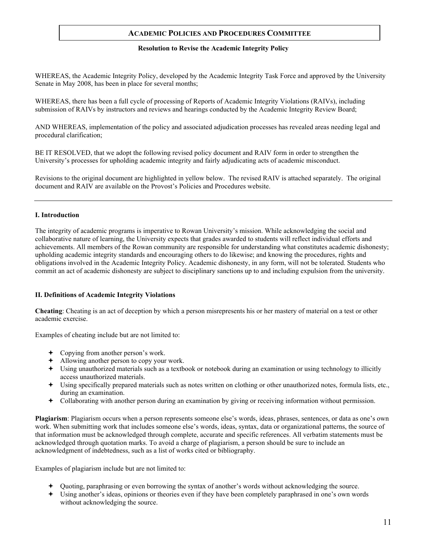#### **Resolution to Revise the Academic Integrity Policy**

WHEREAS, the Academic Integrity Policy, developed by the Academic Integrity Task Force and approved by the University Senate in May 2008, has been in place for several months;

WHEREAS, there has been a full cycle of processing of Reports of Academic Integrity Violations (RAIVs), including submission of RAIVs by instructors and reviews and hearings conducted by the Academic Integrity Review Board;

AND WHEREAS, implementation of the policy and associated adjudication processes has revealed areas needing legal and procedural clarification;

BE IT RESOLVED, that we adopt the following revised policy document and RAIV form in order to strengthen the University's processes for upholding academic integrity and fairly adjudicating acts of academic misconduct.

Revisions to the original document are highlighted in yellow below. The revised RAIV is attached separately. The original document and RAIV are available on the Provost's Policies and Procedures website.

#### **I. Introduction**

The integrity of academic programs is imperative to Rowan University's mission. While acknowledging the social and collaborative nature of learning, the University expects that grades awarded to students will reflect individual efforts and achievements. All members of the Rowan community are responsible for understanding what constitutes academic dishonesty; upholding academic integrity standards and encouraging others to do likewise; and knowing the procedures, rights and obligations involved in the Academic Integrity Policy. Academic dishonesty, in any form, will not be tolerated. Students who commit an act of academic dishonesty are subject to disciplinary sanctions up to and including expulsion from the university.

#### **II. Definitions of Academic Integrity Violations**

**Cheating**: Cheating is an act of deception by which a person misrepresents his or her mastery of material on a test or other academic exercise.

Examples of cheating include but are not limited to:

- Copying from another person's work.
- Allowing another person to copy your work.
- Using unauthorized materials such as a textbook or notebook during an examination or using technology to illicitly access unauthorized materials.
- Using specifically prepared materials such as notes written on clothing or other unauthorized notes, formula lists, etc., during an examination.
- Collaborating with another person during an examination by giving or receiving information without permission.

**Plagiarism**: Plagiarism occurs when a person represents someone else's words, ideas, phrases, sentences, or data as one's own work. When submitting work that includes someone else's words, ideas, syntax, data or organizational patterns, the source of that information must be acknowledged through complete, accurate and specific references. All verbatim statements must be acknowledged through quotation marks. To avoid a charge of plagiarism, a person should be sure to include an acknowledgment of indebtedness, such as a list of works cited or bibliography.

Examples of plagiarism include but are not limited to:

- Quoting, paraphrasing or even borrowing the syntax of another's words without acknowledging the source.
- Using another's ideas, opinions or theories even if they have been completely paraphrased in one's own words without acknowledging the source.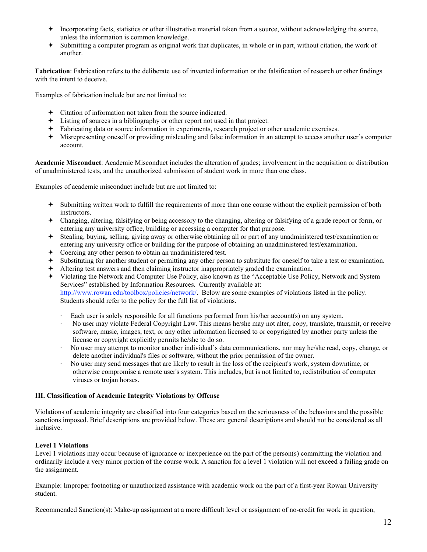- $\rightarrow$  Incorporating facts, statistics or other illustrative material taken from a source, without acknowledging the source, unless the information is common knowledge.
- Submitting a computer program as original work that duplicates, in whole or in part, without citation, the work of another.

**Fabrication**: Fabrication refers to the deliberate use of invented information or the falsification of research or other findings with the intent to deceive.

Examples of fabrication include but are not limited to:

- Citation of information not taken from the source indicated.
- Listing of sources in a bibliography or other report not used in that project.
- Fabricating data or source information in experiments, research project or other academic exercises.
- Misrepresenting oneself or providing misleading and false information in an attempt to access another user's computer account.

**Academic Misconduct**: Academic Misconduct includes the alteration of grades; involvement in the acquisition or distribution of unadministered tests, and the unauthorized submission of student work in more than one class.

Examples of academic misconduct include but are not limited to:

- Submitting written work to fulfill the requirements of more than one course without the explicit permission of both instructors.
- Changing, altering, falsifying or being accessory to the changing, altering or falsifying of a grade report or form, or entering any university office, building or accessing a computer for that purpose.
- Stealing, buying, selling, giving away or otherwise obtaining all or part of any unadministered test/examination or entering any university office or building for the purpose of obtaining an unadministered test/examination.
- Coercing any other person to obtain an unadministered test.
- Substituting for another student or permitting any other person to substitute for oneself to take a test or examination.
- Altering test answers and then claiming instructor inappropriately graded the examination.
- Violating the Network and Computer Use Policy, also known as the "Acceptable Use Policy, Network and System Services" established by Information Resources. Currently available at: http://www.rowan.edu/toolbox/policies/network/. Below are some examples of violations listed in the policy. Students should refer to the policy for the full list of violations.
	- Each user is solely responsible for all functions performed from his/her account(s) on any system.
	- · No user may violate Federal Copyright Law. This means he/she may not alter, copy, translate, transmit, or receive software, music, images, text, or any other information licensed to or copyrighted by another party unless the license or copyright explicitly permits he/she to do so.
	- · No user may attempt to monitor another individual's data communications, nor may he/she read, copy, change, or delete another individual's files or software, without the prior permission of the owner.
	- · No user may send messages that are likely to result in the loss of the recipient's work, system downtime, or otherwise compromise a remote user's system. This includes, but is not limited to, redistribution of computer viruses or trojan horses.

#### **III. Classification of Academic Integrity Violations by Offense**

Violations of academic integrity are classified into four categories based on the seriousness of the behaviors and the possible sanctions imposed. Brief descriptions are provided below. These are general descriptions and should not be considered as all inclusive.

#### **Level 1 Violations**

Level 1 violations may occur because of ignorance or inexperience on the part of the person(s) committing the violation and ordinarily include a very minor portion of the course work. A sanction for a level 1 violation will not exceed a failing grade on the assignment.

Example: Improper footnoting or unauthorized assistance with academic work on the part of a first-year Rowan University student.

Recommended Sanction(s): Make-up assignment at a more difficult level or assignment of no-credit for work in question,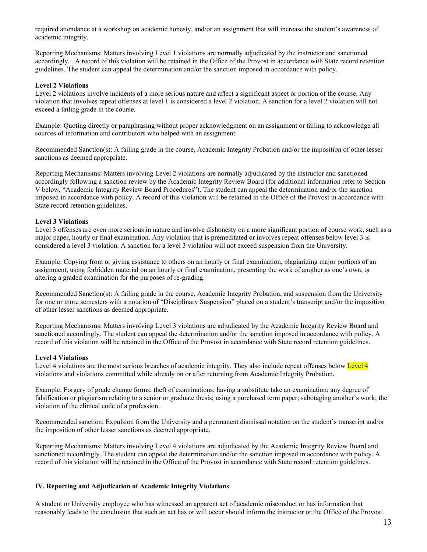required attendance at a workshop on academic honesty, and/or an assignment that will increase the student's awareness of academic integrity.

Reporting Mechanisms: Matters involving Level 1 violations are normally adjudicated by the instructor and sanctioned accordingly. A record of this violation will be retained in the Office of the Provost in accordance with State record retention guidelines. The student can appeal the determination and/or the sanction imposed in accordance with policy.

#### **Level 2 Violations**

Level 2 violations involve incidents of a more serious nature and affect a significant aspect or portion of the course. Any violation that involves repeat offenses at level 1 is considered a level 2 violation. A sanction for a level 2 violation will not exceed a failing grade in the course.

Example: Quoting directly or paraphrasing without proper acknowledgment on an assignment or failing to acknowledge all sources of information and contributors who helped with an assignment.

Recommended Sanction(s): A failing grade in the course, Academic Integrity Probation and/or the imposition of other lesser sanctions as deemed appropriate.

Reporting Mechanisms: Matters involving Level 2 violations are normally adjudicated by the instructor and sanctioned accordingly following a sanction review by the Academic Integrity Review Board (for additional information refer to Section V below, "Academic Integrity Review Board Procedures"). The student can appeal the determination and/or the sanction imposed in accordance with policy. A record of this violation will be retained in the Office of the Provost in accordance with State record retention guidelines.

#### **Level 3 Violations**

Level 3 offenses are even more serious in nature and involve dishonesty on a more significant portion of course work, such as a major paper, hourly or final examination. Any violation that is premeditated or involves repeat offenses below level 3 is considered a level 3 violation. A sanction for a level 3 violation will not exceed suspension from the University.

Example: Copying from or giving assistance to others on an hourly or final examination, plagiarizing major portions of an assignment, using forbidden material on an hourly or final examination, presenting the work of another as one's own, or altering a graded examination for the purposes of re-grading.

Recommended Sanction(s): A failing grade in the course, Academic Integrity Probation, and suspension from the University for one or more semesters with a notation of "Disciplinary Suspension" placed on a student's transcript and/or the imposition of other lesser sanctions as deemed appropriate.

Reporting Mechanisms: Matters involving Level 3 violations are adjudicated by the Academic Integrity Review Board and sanctioned accordingly. The student can appeal the determination and/or the sanction imposed in accordance with policy. A record of this violation will be retained in the Office of the Provost in accordance with State record retention guidelines.

#### **Level 4 Violations**

Level 4 violations are the most serious breaches of academic integrity. They also include repeat offenses below Level 4 violations and violations committed while already on or after returning from Academic Integrity Probation.

Example: Forgery of grade change forms; theft of examinations; having a substitute take an examination; any degree of falsification or plagiarism relating to a senior or graduate thesis; using a purchased term paper; sabotaging another's work; the violation of the clinical code of a profession.

Recommended sanction: Expulsion from the University and a permanent dismissal notation on the student's transcript and/or the imposition of other lesser sanctions as deemed appropriate.

Reporting Mechanisms: Matters involving Level 4 violations are adjudicated by the Academic Integrity Review Board and sanctioned accordingly. The student can appeal the determination and/or the sanction imposed in accordance with policy. A record of this violation will be retained in the Office of the Provost in accordance with State record retention guidelines.

#### **IV. Reporting and Adjudication of Academic Integrity Violations**

A student or University employee who has witnessed an apparent act of academic misconduct or has information that reasonably leads to the conclusion that such an act has or will occur should inform the instructor or the Office of the Provost.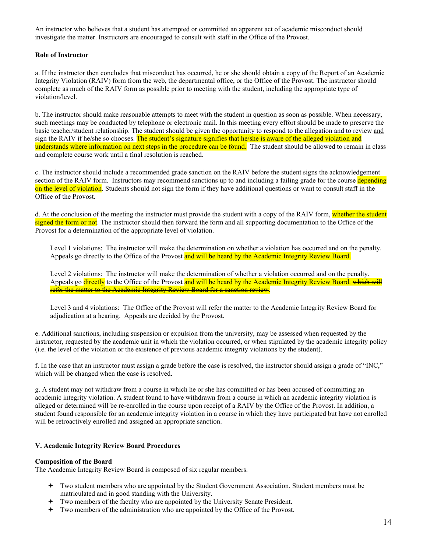An instructor who believes that a student has attempted or committed an apparent act of academic misconduct should investigate the matter. Instructors are encouraged to consult with staff in the Office of the Provost.

#### **Role of Instructor**

a. If the instructor then concludes that misconduct has occurred, he or she should obtain a copy of the Report of an Academic Integrity Violation (RAIV) form from the web, the departmental office, or the Office of the Provost. The instructor should complete as much of the RAIV form as possible prior to meeting with the student, including the appropriate type of violation/level.

b. The instructor should make reasonable attempts to meet with the student in question as soon as possible. When necessary, such meetings may be conducted by telephone or electronic mail. In this meeting every effort should be made to preserve the basic teacher/student relationship. The student should be given the opportunity to respond to the allegation and to review and sign the RAIV if he/she so chooses. The student's signature signifies that he/she is aware of the alleged violation and understands where information on next steps in the procedure can be found. The student should be allowed to remain in class and complete course work until a final resolution is reached.

c. The instructor should include a recommended grade sanction on the RAIV before the student signs the acknowledgement section of the RAIV form. Instructors may recommend sanctions up to and including a failing grade for the course depending on the level of violation. Students should not sign the form if they have additional questions or want to consult staff in the Office of the Provost.

d. At the conclusion of the meeting the instructor must provide the student with a copy of the RAIV form, whether the student signed the form or not. The instructor should then forward the form and all supporting documentation to the Office of the Provost for a determination of the appropriate level of violation.

Level 1 violations: The instructor will make the determination on whether a violation has occurred and on the penalty. Appeals go directly to the Office of the Provost and will be heard by the Academic Integrity Review Board.

Level 2 violations: The instructor will make the determination of whether a violation occurred and on the penalty. Appeals go directly to the Office of the Provost and will be heard by the Academic Integrity Review Board, which will refer the matter to the Academic Integrity Review Board for a sanction review.

Level 3 and 4 violations: The Office of the Provost will refer the matter to the Academic Integrity Review Board for adjudication at a hearing. Appeals are decided by the Provost.

e. Additional sanctions, including suspension or expulsion from the university, may be assessed when requested by the instructor, requested by the academic unit in which the violation occurred, or when stipulated by the academic integrity policy (i.e. the level of the violation or the existence of previous academic integrity violations by the student).

f. In the case that an instructor must assign a grade before the case is resolved, the instructor should assign a grade of "INC," which will be changed when the case is resolved.

g. A student may not withdraw from a course in which he or she has committed or has been accused of committing an academic integrity violation. A student found to have withdrawn from a course in which an academic integrity violation is alleged or determined will be re-enrolled in the course upon receipt of a RAIV by the Office of the Provost. In addition, a student found responsible for an academic integrity violation in a course in which they have participated but have not enrolled will be retroactively enrolled and assigned an appropriate sanction.

#### **V. Academic Integrity Review Board Procedures**

#### **Composition of the Board**

The Academic Integrity Review Board is composed of six regular members.

- Two student members who are appointed by the Student Government Association. Student members must be matriculated and in good standing with the University.
- Two members of the faculty who are appointed by the University Senate President.
- Two members of the administration who are appointed by the Office of the Provost.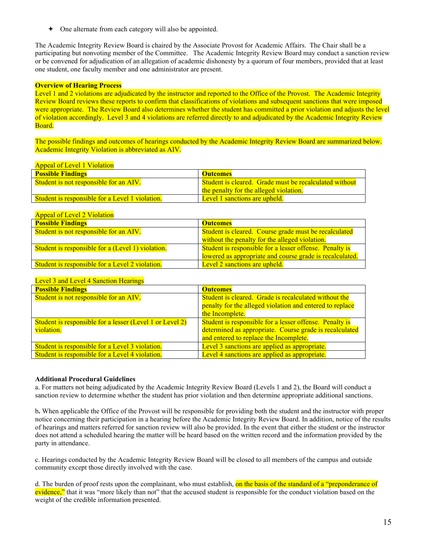One alternate from each category will also be appointed.

The Academic Integrity Review Board is chaired by the Associate Provost for Academic Affairs. The Chair shall be a participating but nonvoting member of the Committee. The Academic Integrity Review Board may conduct a sanction review or be convened for adjudication of an allegation of academic dishonesty by a quorum of four members, provided that at least one student, one faculty member and one administrator are present.

#### **Overview of Hearing Process**

Level 1 and 2 violations are adjudicated by the instructor and reported to the Office of the Provost. The Academic Integrity Review Board reviews these reports to confirm that classifications of violations and subsequent sanctions that were imposed were appropriate. The Review Board also determines whether the student has committed a prior violation and adjusts the level of violation accordingly. Level 3 and 4 violations are referred directly to and adjudicated by the Academic Integrity Review Board.

The possible findings and outcomes of hearings conducted by the Academic Integrity Review Board are summarized below. Academic Integrity Violation is abbreviated as AIV.

#### Appeal of Level 1 Violation

| <b>Possible Findings</b>                               | <b>Outcomes</b>                                        |
|--------------------------------------------------------|--------------------------------------------------------|
| <b>Student is not responsible for an AIV.</b>          | Student is cleared. Grade must be recalculated without |
|                                                        | the penalty for the alleged violation.                 |
| <b>Student is responsible for a Level 1 violation.</b> | Level 1 sanctions are upheld.                          |

### Appeal of Level 2 Violation

| <b>Possible Findings</b>                               | <b>Outcomes</b>                                          |  |
|--------------------------------------------------------|----------------------------------------------------------|--|
| Student is not responsible for an AIV.                 | Student is cleared. Course grade must be recalculated    |  |
|                                                        | without the penalty for the alleged violation.           |  |
| Student is responsible for a (Level 1) violation.      | Student is responsible for a lesser offense. Penalty is  |  |
|                                                        | lowered as appropriate and course grade is recalculated. |  |
| <b>Student is responsible for a Level 2 violation.</b> | Level 2 sanctions are upheld.                            |  |

#### Level 3 and Level 4 Sanction Hearings

| <b>Possible Findings</b>                                 | <b>Outcomes</b>                                          |  |
|----------------------------------------------------------|----------------------------------------------------------|--|
| Student is not responsible for an AIV.                   | Student is cleared. Grade is recalculated without the    |  |
|                                                          | penalty for the alleged violation and entered to replace |  |
|                                                          | the Incomplete.                                          |  |
| Student is responsible for a lesser (Level 1 or Level 2) | Student is responsible for a lesser offense. Penalty is  |  |
| violation.                                               | determined as appropriate. Course grade is recalculated  |  |
|                                                          | and entered to replace the Incomplete.                   |  |
| Student is responsible for a Level 3 violation.          | Level 3 sanctions are applied as appropriate.            |  |
| Student is responsible for a Level 4 violation.          | Level 4 sanctions are applied as appropriate.            |  |

#### **Additional Procedural Guidelines**

a. For matters not being adjudicated by the Academic Integrity Review Board (Levels 1 and 2), the Board will conduct a sanction review to determine whether the student has prior violation and then determine appropriate additional sanctions.

b**.** When applicable the Office of the Provost will be responsible for providing both the student and the instructor with proper notice concerning their participation in a hearing before the Academic Integrity Review Board. In addition, notice of the results of hearings and matters referred for sanction review will also be provided. In the event that either the student or the instructor does not attend a scheduled hearing the matter will be heard based on the written record and the information provided by the party in attendance.

c. Hearings conducted by the Academic Integrity Review Board will be closed to all members of the campus and outside community except those directly involved with the case.

d. The burden of proof rests upon the complainant, who must establish, on the basis of the standard of a "preponderance of evidence," that it was "more likely than not" that the accused student is responsible for the conduct violation based on the weight of the credible information presented.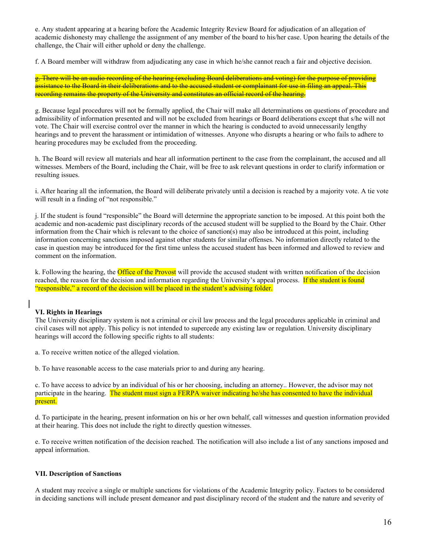e. Any student appearing at a hearing before the Academic Integrity Review Board for adjudication of an allegation of academic dishonesty may challenge the assignment of any member of the board to his/her case. Upon hearing the details of the challenge, the Chair will either uphold or deny the challenge.

f. A Board member will withdraw from adjudicating any case in which he/she cannot reach a fair and objective decision.

g. There will be an audio recording of the hearing (excluding Board deliberations and voting) for the purpose of providing assistance to the Board in their deliberations and to the accused student or complainant for use in filing an appeal. This recording remains the property of the University and constitutes an official record of the hearing.

g. Because legal procedures will not be formally applied, the Chair will make all determinations on questions of procedure and admissibility of information presented and will not be excluded from hearings or Board deliberations except that s/he will not vote. The Chair will exercise control over the manner in which the hearing is conducted to avoid unnecessarily lengthy hearings and to prevent the harassment or intimidation of witnesses. Anyone who disrupts a hearing or who fails to adhere to hearing procedures may be excluded from the proceeding.

h. The Board will review all materials and hear all information pertinent to the case from the complainant, the accused and all witnesses. Members of the Board, including the Chair, will be free to ask relevant questions in order to clarify information or resulting issues.

i. After hearing all the information, the Board will deliberate privately until a decision is reached by a majority vote. A tie vote will result in a finding of "not responsible."

j. If the student is found "responsible" the Board will determine the appropriate sanction to be imposed. At this point both the academic and non-academic past disciplinary records of the accused student will be supplied to the Board by the Chair. Other information from the Chair which is relevant to the choice of sanction(s) may also be introduced at this point, including information concerning sanctions imposed against other students for similar offenses. No information directly related to the case in question may be introduced for the first time unless the accused student has been informed and allowed to review and comment on the information.

k. Following the hearing, the **Office of the Provost** will provide the accused student with written notification of the decision reached, the reason for the decision and information regarding the University's appeal process. If the student is found "responsible," a record of the decision will be placed in the student's advising folder.

### **VI. Rights in Hearings**

The University disciplinary system is not a criminal or civil law process and the legal procedures applicable in criminal and civil cases will not apply. This policy is not intended to supercede any existing law or regulation. University disciplinary hearings will accord the following specific rights to all students:

a. To receive written notice of the alleged violation.

b. To have reasonable access to the case materials prior to and during any hearing.

c. To have access to advice by an individual of his or her choosing, including an attorney.. However, the advisor may not participate in the hearing. The student must sign a FERPA waiver indicating he/she has consented to have the individual present.

d. To participate in the hearing, present information on his or her own behalf, call witnesses and question information provided at their hearing. This does not include the right to directly question witnesses.

e. To receive written notification of the decision reached. The notification will also include a list of any sanctions imposed and appeal information.

#### **VII. Description of Sanctions**

A student may receive a single or multiple sanctions for violations of the Academic Integrity policy. Factors to be considered in deciding sanctions will include present demeanor and past disciplinary record of the student and the nature and severity of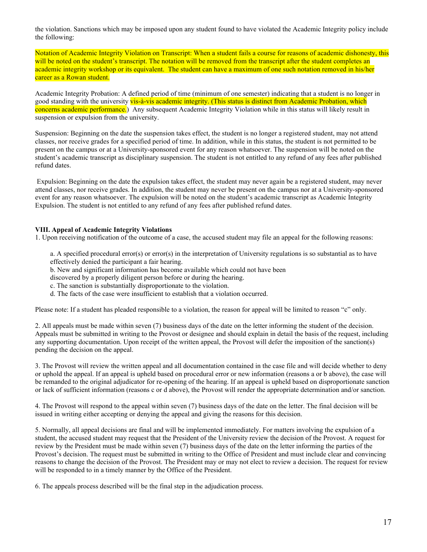the violation. Sanctions which may be imposed upon any student found to have violated the Academic Integrity policy include the following:

Notation of Academic Integrity Violation on Transcript: When a student fails a course for reasons of academic dishonesty, this will be noted on the student's transcript. The notation will be removed from the transcript after the student completes an academic integrity workshop or its equivalent. The student can have a maximum of one such notation removed in his/her career as a Rowan student.

Academic Integrity Probation: A defined period of time (minimum of one semester) indicating that a student is no longer in good standing with the university vis-à-vis academic integrity. (This status is distinct from Academic Probation, which concerns academic performance.) Any subsequent Academic Integrity Violation while in this status will likely result in suspension or expulsion from the university.

Suspension: Beginning on the date the suspension takes effect, the student is no longer a registered student, may not attend classes, nor receive grades for a specified period of time. In addition, while in this status, the student is not permitted to be present on the campus or at a University-sponsored event for any reason whatsoever. The suspension will be noted on the student's academic transcript as disciplinary suspension. The student is not entitled to any refund of any fees after published refund dates.

 Expulsion: Beginning on the date the expulsion takes effect, the student may never again be a registered student, may never attend classes, nor receive grades. In addition, the student may never be present on the campus nor at a University-sponsored event for any reason whatsoever. The expulsion will be noted on the student's academic transcript as Academic Integrity Expulsion. The student is not entitled to any refund of any fees after published refund dates.

#### **VIII. Appeal of Academic Integrity Violations**

1. Upon receiving notification of the outcome of a case, the accused student may file an appeal for the following reasons:

a. A specified procedural error(s) or error(s) in the interpretation of University regulations is so substantial as to have effectively denied the participant a fair hearing.

b. New and significant information has become available which could not have been

discovered by a properly diligent person before or during the hearing.

- c. The sanction is substantially disproportionate to the violation.
- d. The facts of the case were insufficient to establish that a violation occurred.

Please note: If a student has pleaded responsible to a violation, the reason for appeal will be limited to reason "c" only.

2. All appeals must be made within seven (7) business days of the date on the letter informing the student of the decision. Appeals must be submitted in writing to the Provost or designee and should explain in detail the basis of the request, including any supporting documentation. Upon receipt of the written appeal, the Provost will defer the imposition of the sanction(s) pending the decision on the appeal.

3. The Provost will review the written appeal and all documentation contained in the case file and will decide whether to deny or uphold the appeal. If an appeal is upheld based on procedural error or new information (reasons a or b above), the case will be remanded to the original adjudicator for re-opening of the hearing. If an appeal is upheld based on disproportionate sanction or lack of sufficient information (reasons c or d above), the Provost will render the appropriate determination and/or sanction.

4. The Provost will respond to the appeal within seven (7) business days of the date on the letter. The final decision will be issued in writing either accepting or denying the appeal and giving the reasons for this decision.

5. Normally, all appeal decisions are final and will be implemented immediately. For matters involving the expulsion of a student, the accused student may request that the President of the University review the decision of the Provost. A request for review by the President must be made within seven (7) business days of the date on the letter informing the parties of the Provost's decision. The request must be submitted in writing to the Office of President and must include clear and convincing reasons to change the decision of the Provost. The President may or may not elect to review a decision. The request for review will be responded to in a timely manner by the Office of the President.

6. The appeals process described will be the final step in the adjudication process.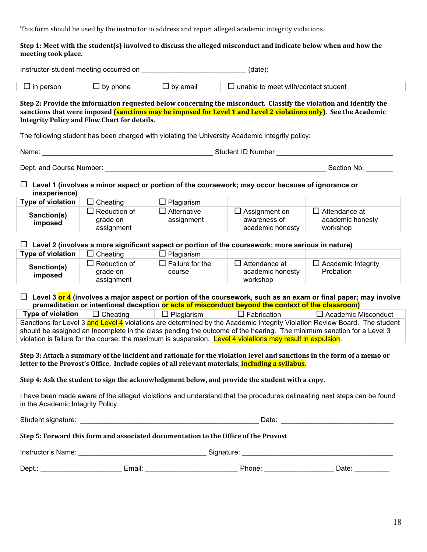This
form
should
be
used
by
the
instructor
to
address
and
report
alleged
academic
integrity
violations.

#### Step 1: Meet with the student(s) involved to discuss the alleged misconduct and indicate below when and how the **meeting
took
place.**

| Instructor-student meeting occurred on<br>(date):                                                                                                                                                                                                                                                                                                                                                |                                               |                                                               |                                                                                                         |                                                                                                                        |  |
|--------------------------------------------------------------------------------------------------------------------------------------------------------------------------------------------------------------------------------------------------------------------------------------------------------------------------------------------------------------------------------------------------|-----------------------------------------------|---------------------------------------------------------------|---------------------------------------------------------------------------------------------------------|------------------------------------------------------------------------------------------------------------------------|--|
| $\Box$ in person                                                                                                                                                                                                                                                                                                                                                                                 | $\Box$ by phone                               | $\Box$ by email<br>$\Box$ unable to meet with/contact student |                                                                                                         |                                                                                                                        |  |
| Step 2: Provide the information requested below concerning the misconduct. Classify the violation and identify the<br>sanctions that were imposed (sanctions may be imposed for Level 1 and Level 2 violations only). See the Academic<br><b>Integrity Policy and Flow Chart for details.</b><br>The following student has been charged with violating the University Academic Integrity policy: |                                               |                                                               |                                                                                                         |                                                                                                                        |  |
| Name:                                                                                                                                                                                                                                                                                                                                                                                            |                                               |                                                               |                                                                                                         |                                                                                                                        |  |
|                                                                                                                                                                                                                                                                                                                                                                                                  |                                               |                                                               |                                                                                                         | Section No.                                                                                                            |  |
| inexperience)                                                                                                                                                                                                                                                                                                                                                                                    |                                               |                                                               | $\Box$ Level 1 (involves a minor aspect or portion of the coursework; may occur because of ignorance or |                                                                                                                        |  |
| Type of violation                                                                                                                                                                                                                                                                                                                                                                                | $\Box$ Cheating                               | $\Box$ Plagiarism                                             |                                                                                                         |                                                                                                                        |  |
| Sanction(s)<br>imposed                                                                                                                                                                                                                                                                                                                                                                           | $\Box$ Reduction of<br>grade on<br>assignment | $\Box$ Alternative<br>assignment                              | $\Box$ Assignment on<br>awareness of<br>academic honesty                                                | $\Box$ Attendance at<br>academic honesty<br>workshop                                                                   |  |
| $\Box$ Level 2 (involves a more significant aspect or portion of the coursework; more serious in nature)                                                                                                                                                                                                                                                                                         |                                               |                                                               |                                                                                                         |                                                                                                                        |  |
| Type of violation                                                                                                                                                                                                                                                                                                                                                                                | $\Box$ Cheating                               | $\Box$ Plagiarism                                             |                                                                                                         |                                                                                                                        |  |
| Sanction(s)<br>imposed                                                                                                                                                                                                                                                                                                                                                                           | $\Box$ Reduction of<br>grade on<br>assignment | $\Box$ Failure for the<br>course                              | $\Box$ Attendance at<br>academic honesty<br>workshop                                                    | $\Box$ Academic Integrity<br>Probation                                                                                 |  |
|                                                                                                                                                                                                                                                                                                                                                                                                  |                                               |                                                               | premeditation or intentional deception or acts of misconduct beyond the context of the classroom)       | $\Box$ Level 3 or 4 (involves a major aspect or portion of the coursework, such as an exam or final paper; may involve |  |
| Type of violation                                                                                                                                                                                                                                                                                                                                                                                | $\Box$ Cheating                               | $\Box$ Plagiarism                                             | $\Box$ Fabrication                                                                                      | $\Box$ Academic Misconduct                                                                                             |  |
| Sanctions for Level 3 and Level 4 violations are determined by the Academic Integrity Violation Review Board. The student<br>should be assigned an Incomplete in the class pending the outcome of the hearing. The minimum sanction for a Level 3<br>violation is failure for the course; the maximum is suspension. Level 4 violations may result in expulsion.                                 |                                               |                                                               |                                                                                                         |                                                                                                                        |  |
| Step 3: Attach a summary of the incident and rationale for the violation level and sanctions in the form of a memo or<br>letter to the Provost's Office. Include copies of all relevant materials, including a syllabus.                                                                                                                                                                         |                                               |                                                               |                                                                                                         |                                                                                                                        |  |
| Step 4: Ask the student to sign the acknowledgment below, and provide the student with a copy.                                                                                                                                                                                                                                                                                                   |                                               |                                                               |                                                                                                         |                                                                                                                        |  |
| I have been made aware of the alleged violations and understand that the procedures delineating next steps can be found<br>in the Academic Integrity Policy.                                                                                                                                                                                                                                     |                                               |                                                               |                                                                                                         |                                                                                                                        |  |
|                                                                                                                                                                                                                                                                                                                                                                                                  |                                               |                                                               |                                                                                                         |                                                                                                                        |  |
| Step 5: Forward this form and associated documentation to the Office of the Provost.                                                                                                                                                                                                                                                                                                             |                                               |                                                               |                                                                                                         |                                                                                                                        |  |
|                                                                                                                                                                                                                                                                                                                                                                                                  |                                               |                                                               |                                                                                                         |                                                                                                                        |  |
|                                                                                                                                                                                                                                                                                                                                                                                                  |                                               |                                                               |                                                                                                         | Dept.: __________________________Email: ____________________________Phone: ______________________Date: ____________    |  |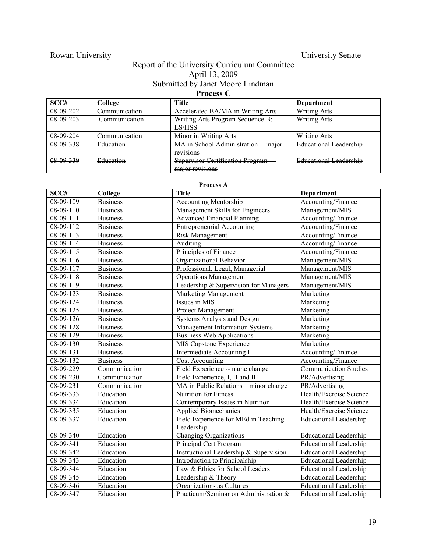# Rowan University **Example 2018** University Senate

# Report of the University Curriculum Committee April 13, 2009 Submitted by Janet Moore Lindman **Process C**

| SCC#        | College       | Title                                                      | Department                    |
|-------------|---------------|------------------------------------------------------------|-------------------------------|
| $08-09-202$ | Communication | Accelerated BA/MA in Writing Arts                          | <b>Writing Arts</b>           |
| $08-09-203$ | Communication | Writing Arts Program Sequence B:<br>LS/HSS                 | <b>Writing Arts</b>           |
| $08-09-204$ | Communication | Minor in Writing Arts                                      | <b>Writing Arts</b>           |
| 08 09 338   | Education     | MA in School Administration<br>major<br>revisions          | <b>Educational Leadership</b> |
| 08 09 339   | Education     | <b>Supervisor Certification Program</b><br>major revisions | <b>Educational Leadership</b> |

| Process A |                 |                                                    |                               |  |
|-----------|-----------------|----------------------------------------------------|-------------------------------|--|
| SCC#      | College         | <b>Title</b>                                       | Department                    |  |
| 08-09-109 | <b>Business</b> | <b>Accounting Mentorship</b>                       | Accounting/Finance            |  |
| 08-09-110 | <b>Business</b> | Management Skills for Engineers                    | Management/MIS                |  |
| 08-09-111 | <b>Business</b> | <b>Advanced Financial Planning</b>                 | Accounting/Finance            |  |
| 08-09-112 | <b>Business</b> | <b>Entrepreneurial Accounting</b>                  | Accounting/Finance            |  |
| 08-09-113 | <b>Business</b> | Risk Management                                    | Accounting/Finance            |  |
| 08-09-114 | <b>Business</b> | Auditing                                           | Accounting/Finance            |  |
| 08-09-115 | <b>Business</b> | Principles of Finance                              | Accounting/Finance            |  |
| 08-09-116 | <b>Business</b> | Organizational Behavior                            | Management/MIS                |  |
| 08-09-117 | <b>Business</b> | Professional, Legal, Managerial                    | Management/MIS                |  |
| 08-09-118 | <b>Business</b> | <b>Operations Management</b>                       | Management/MIS                |  |
| 08-09-119 | <b>Business</b> | Leadership & Supervision for Managers              | Management/MIS                |  |
| 08-09-123 | <b>Business</b> | Marketing Management                               | Marketing                     |  |
| 08-09-124 | <b>Business</b> | Issues in MIS                                      | Marketing                     |  |
| 08-09-125 | <b>Business</b> | Project Management                                 | Marketing                     |  |
| 08-09-126 | <b>Business</b> | Systems Analysis and Design                        | Marketing                     |  |
| 08-09-128 | <b>Business</b> | <b>Management Information Systems</b>              | Marketing                     |  |
| 08-09-129 | <b>Business</b> | <b>Business Web Applications</b>                   | Marketing                     |  |
| 08-09-130 | <b>Business</b> | MIS Capstone Experience                            | Marketing                     |  |
| 08-09-131 | <b>Business</b> | <b>Intermediate Accounting I</b>                   | Accounting/Finance            |  |
| 08-09-132 | <b>Business</b> | <b>Cost Accounting</b>                             | Accounting/Finance            |  |
| 08-09-229 | Communication   | Field Experience -- name change                    | <b>Communication Studies</b>  |  |
| 08-09-230 | Communication   | Field Experience, I, II and III                    | PR/Advertising                |  |
| 08-09-231 | Communication   | MA in Public Relations – minor change              | PR/Advertising                |  |
| 08-09-333 | Education       | <b>Nutrition for Fitness</b>                       | Health/Exercise Science       |  |
| 08-09-334 | Education       | Contemporary Issues in Nutrition                   | Health/Exercise Science       |  |
| 08-09-335 | Education       | Applied Biomechanics                               | Health/Exercise Science       |  |
| 08-09-337 | Education       | Field Experience for MEd in Teaching<br>Leadership | <b>Educational Leadership</b> |  |
| 08-09-340 | Education       | <b>Changing Organizations</b>                      | <b>Educational Leadership</b> |  |
| 08-09-341 | Education       | Principal Cert Program                             | <b>Educational Leadership</b> |  |
| 08-09-342 | Education       | Instructional Leadership & Supervision             | <b>Educational Leadership</b> |  |
| 08-09-343 | Education       | Introduction to Principalship                      | <b>Educational Leadership</b> |  |
| 08-09-344 | Education       | Law & Ethics for School Leaders                    | <b>Educational Leadership</b> |  |
| 08-09-345 | Education       | Leadership & Theory                                | <b>Educational Leadership</b> |  |
| 08-09-346 | Education       | Organizations as Cultures                          | <b>Educational Leadership</b> |  |
| 08-09-347 | Education       | Practicum/Seminar on Administration &              | <b>Educational Leadership</b> |  |

# 19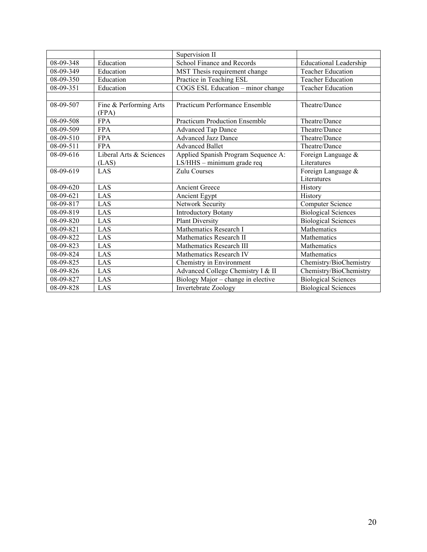|                 |                                 | Supervision II                       |                                   |
|-----------------|---------------------------------|--------------------------------------|-----------------------------------|
| 08-09-348       | Education                       | School Finance and Records           | <b>Educational Leadership</b>     |
| 08-09-349       | Education                       | MST Thesis requirement change        | Teacher Education                 |
| 08-09-350       | Education                       | Practice in Teaching ESL             | <b>Teacher Education</b>          |
| 08-09-351       | Education                       | COGS ESL Education - minor change    | <b>Teacher Education</b>          |
|                 |                                 |                                      |                                   |
| 08-09-507       | Fine & Performing Arts<br>(FPA) | Practicum Performance Ensemble       | Theatre/Dance                     |
| 08-09-508       | <b>FPA</b>                      | <b>Practicum Production Ensemble</b> | Theatre/Dance                     |
| 08-09-509       | <b>FPA</b>                      | <b>Advanced Tap Dance</b>            | Theatre/Dance                     |
| 08-09-510       | <b>FPA</b>                      | <b>Advanced Jazz Dance</b>           | Theatre/Dance                     |
| 08-09-511       | <b>FPA</b>                      | <b>Advanced Ballet</b>               | Theatre/Dance                     |
| 08-09-616       | Liberal Arts & Sciences         | Applied Spanish Program Sequence A:  | Foreign Language &                |
|                 | (LAS)                           | LS/HHS - minimum grade req           | Literatures                       |
| 08-09-619       | LAS                             | Zulu Courses                         | Foreign Language &<br>Literatures |
| 08-09-620       | LAS                             | <b>Ancient Greece</b>                | History                           |
| $08 - 09 - 621$ | LAS                             | Ancient Egypt                        | <b>History</b>                    |
| 08-09-817       | LAS                             | Network Security                     | Computer Science                  |
| 08-09-819       | LAS                             | <b>Introductory Botany</b>           | <b>Biological Sciences</b>        |
| 08-09-820       | LAS                             | <b>Plant Diversity</b>               | <b>Biological Sciences</b>        |
| 08-09-821       | LAS                             | Mathematics Research I               | Mathematics                       |
| 08-09-822       | LAS                             | Mathematics Research II              | Mathematics                       |
| 08-09-823       | LAS                             | Mathematics Research III             | Mathematics                       |
| 08-09-824       | LAS                             | Mathematics Research IV              | Mathematics                       |
| 08-09-825       | LAS                             | Chemistry in Environment             | Chemistry/BioChemistry            |
| 08-09-826       | LAS                             | Advanced College Chemistry I & II    | Chemistry/BioChemistry            |
| 08-09-827       | LAS                             | Biology Major – change in elective   | <b>Biological Sciences</b>        |
| 08-09-828       | LAS                             | Invertebrate Zoology                 | <b>Biological Sciences</b>        |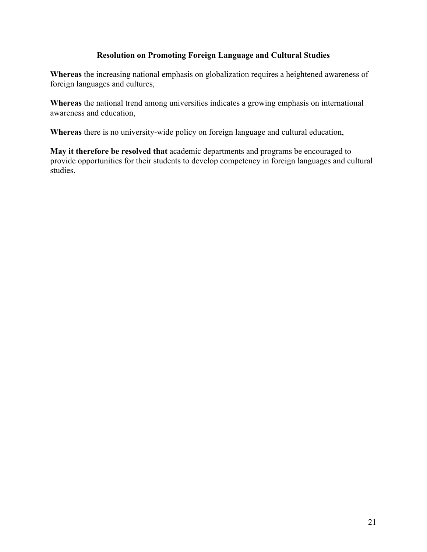# **Resolution on Promoting Foreign Language and Cultural Studies**

**Whereas** the increasing national emphasis on globalization requires a heightened awareness of foreign languages and cultures,

**Whereas** the national trend among universities indicates a growing emphasis on international awareness and education,

**Whereas** there is no university-wide policy on foreign language and cultural education,

**May it therefore be resolved that** academic departments and programs be encouraged to provide opportunities for their students to develop competency in foreign languages and cultural studies.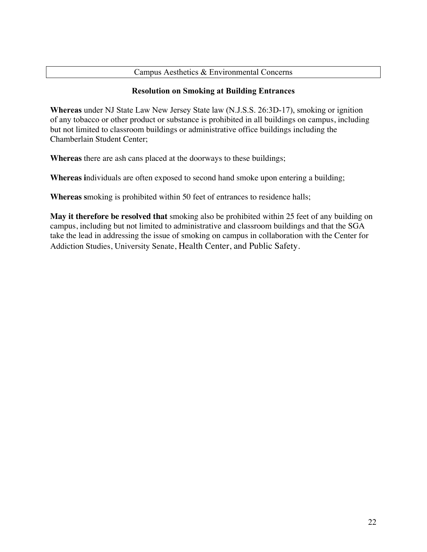# Campus Aesthetics & Environmental Concerns

# **Resolution on Smoking at Building Entrances**

**Whereas** under NJ State Law New Jersey State law (N.J.S.S. 26:3D-17), smoking or ignition of any tobacco or other product or substance is prohibited in all buildings on campus, including but not limited to classroom buildings or administrative office buildings including the Chamberlain Student Center;

**Whereas** there are ash cans placed at the doorways to these buildings;

**Whereas i**ndividuals are often exposed to second hand smoke upon entering a building;

**Whereas s**moking is prohibited within 50 feet of entrances to residence halls;

**May it therefore be resolved that** smoking also be prohibited within 25 feet of any building on campus, including but not limited to administrative and classroom buildings and that the SGA take the lead in addressing the issue of smoking on campus in collaboration with the Center for Addiction Studies, University Senate, Health Center, and Public Safety.